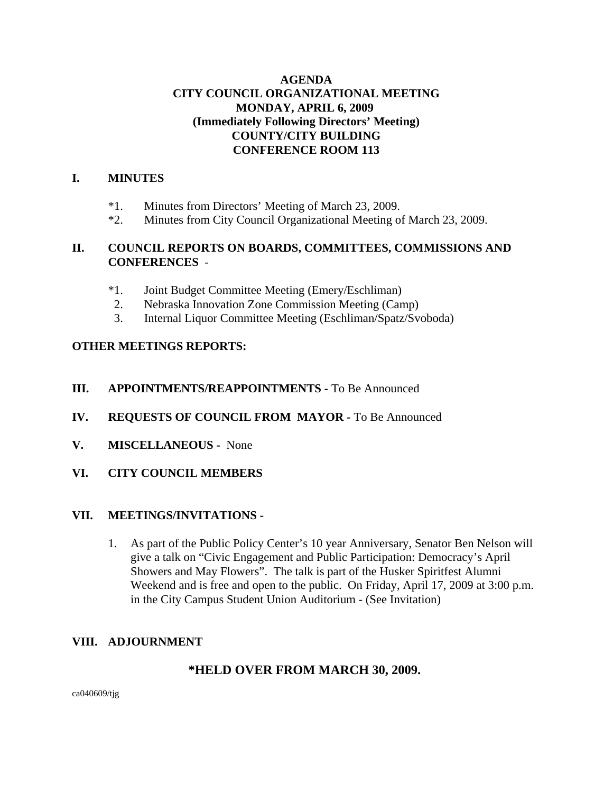## **AGENDA CITY COUNCIL ORGANIZATIONAL MEETING MONDAY, APRIL 6, 2009 (Immediately Following Directors' Meeting) COUNTY/CITY BUILDING CONFERENCE ROOM 113**

### **I. MINUTES**

- \*1. Minutes from Directors' Meeting of March 23, 2009.
- \*2. Minutes from City Council Organizational Meeting of March 23, 2009.

## **II. COUNCIL REPORTS ON BOARDS, COMMITTEES, COMMISSIONS AND CONFERENCES** -

- \*1. Joint Budget Committee Meeting (Emery/Eschliman)
- 2. Nebraska Innovation Zone Commission Meeting (Camp)
- 3. Internal Liquor Committee Meeting (Eschliman/Spatz/Svoboda)

## **OTHER MEETINGS REPORTS:**

## **III. APPOINTMENTS/REAPPOINTMENTS -** To Be Announced

- **IV. REQUESTS OF COUNCIL FROM MAYOR -** To Be Announced
- **V. MISCELLANEOUS -** None
- **VI. CITY COUNCIL MEMBERS**

### **VII. MEETINGS/INVITATIONS -**

1. As part of the Public Policy Center's 10 year Anniversary, Senator Ben Nelson will give a talk on "Civic Engagement and Public Participation: Democracy's April Showers and May Flowers". The talk is part of the Husker Spiritfest Alumni Weekend and is free and open to the public. On Friday, April 17, 2009 at 3:00 p.m. in the City Campus Student Union Auditorium - (See Invitation)

## **VIII. ADJOURNMENT**

## **\*HELD OVER FROM MARCH 30, 2009.**

ca040609/tjg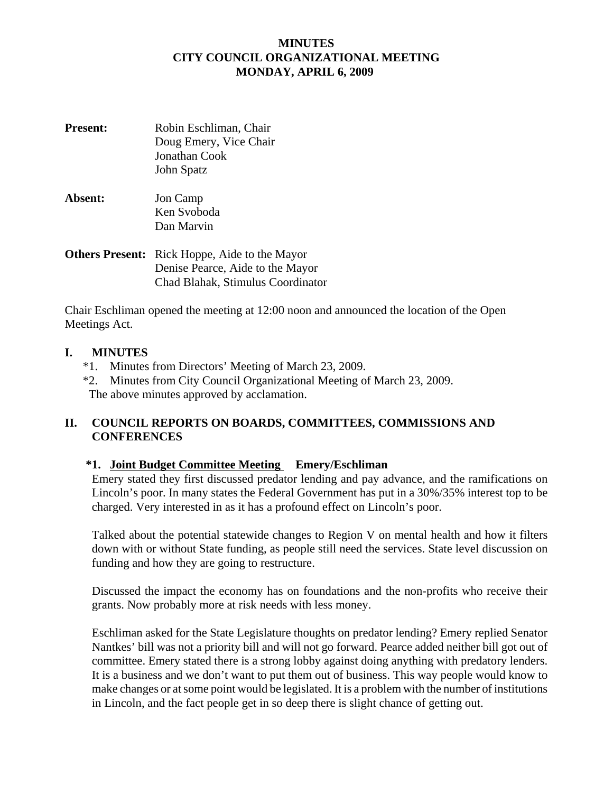## **MINUTES CITY COUNCIL ORGANIZATIONAL MEETING MONDAY, APRIL 6, 2009**

- **Present:** Robin Eschliman, Chair Doug Emery, Vice Chair Jonathan Cook John Spatz
- **Absent:** Jon Camp Ken Svoboda Dan Marvin
- **Others Present:** Rick Hoppe, Aide to the Mayor Denise Pearce, Aide to the Mayor Chad Blahak, Stimulus Coordinator

Chair Eschliman opened the meeting at 12:00 noon and announced the location of the Open Meetings Act.

## **I. MINUTES**

- \*1. Minutes from Directors' Meeting of March 23, 2009.
- \*2. Minutes from City Council Organizational Meeting of March 23, 2009. The above minutes approved by acclamation.

## **II. COUNCIL REPORTS ON BOARDS, COMMITTEES, COMMISSIONS AND CONFERENCES**

## **\*1. Joint Budget Committee Meeting Emery/Eschliman**

Emery stated they first discussed predator lending and pay advance, and the ramifications on Lincoln's poor. In many states the Federal Government has put in a 30%/35% interest top to be charged. Very interested in as it has a profound effect on Lincoln's poor.

Talked about the potential statewide changes to Region V on mental health and how it filters down with or without State funding, as people still need the services. State level discussion on funding and how they are going to restructure.

Discussed the impact the economy has on foundations and the non-profits who receive their grants. Now probably more at risk needs with less money.

Eschliman asked for the State Legislature thoughts on predator lending? Emery replied Senator Nantkes' bill was not a priority bill and will not go forward. Pearce added neither bill got out of committee. Emery stated there is a strong lobby against doing anything with predatory lenders. It is a business and we don't want to put them out of business. This way people would know to make changes or at some point would be legislated. It is a problem with the number of institutions in Lincoln, and the fact people get in so deep there is slight chance of getting out.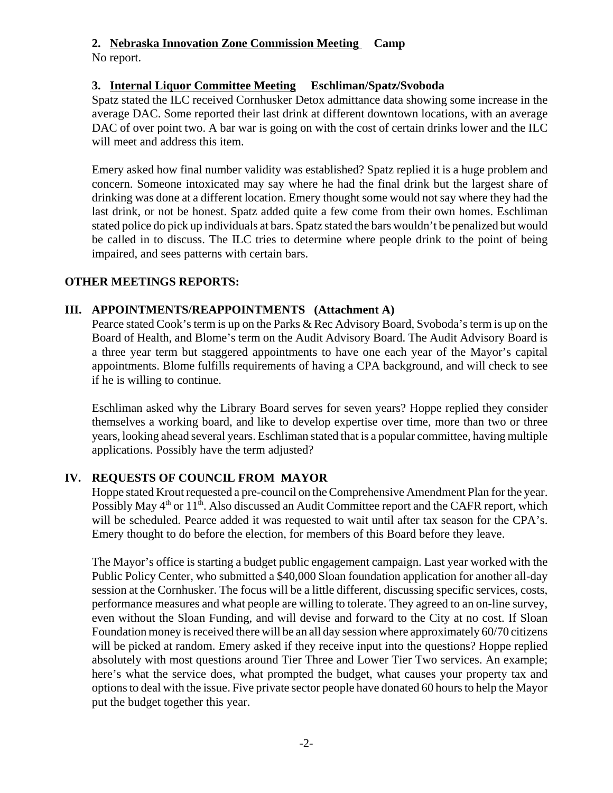# **2. Nebraska Innovation Zone Commission Meeting Camp**

No report.

## **3. Internal Liquor Committee Meeting Eschliman/Spatz/Svoboda**

Spatz stated the ILC received Cornhusker Detox admittance data showing some increase in the average DAC. Some reported their last drink at different downtown locations, with an average DAC of over point two. A bar war is going on with the cost of certain drinks lower and the ILC will meet and address this item.

Emery asked how final number validity was established? Spatz replied it is a huge problem and concern. Someone intoxicated may say where he had the final drink but the largest share of drinking was done at a different location. Emery thought some would not say where they had the last drink, or not be honest. Spatz added quite a few come from their own homes. Eschliman stated police do pick up individuals at bars. Spatz stated the bars wouldn't be penalized but would be called in to discuss. The ILC tries to determine where people drink to the point of being impaired, and sees patterns with certain bars.

## **OTHER MEETINGS REPORTS:**

## **III. APPOINTMENTS/REAPPOINTMENTS (Attachment A)**

Pearce stated Cook's term is up on the Parks & Rec Advisory Board, Svoboda's term is up on the Board of Health, and Blome's term on the Audit Advisory Board. The Audit Advisory Board is a three year term but staggered appointments to have one each year of the Mayor's capital appointments. Blome fulfills requirements of having a CPA background, and will check to see if he is willing to continue.

Eschliman asked why the Library Board serves for seven years? Hoppe replied they consider themselves a working board, and like to develop expertise over time, more than two or three years, looking ahead several years. Eschliman stated that is a popular committee, having multiple applications. Possibly have the term adjusted?

## **IV. REQUESTS OF COUNCIL FROM MAYOR**

Hoppe stated Krout requested a pre-council on the Comprehensive Amendment Plan for the year. Possibly May  $4<sup>th</sup>$  or  $11<sup>th</sup>$ . Also discussed an Audit Committee report and the CAFR report, which will be scheduled. Pearce added it was requested to wait until after tax season for the CPA's. Emery thought to do before the election, for members of this Board before they leave.

The Mayor's office is starting a budget public engagement campaign. Last year worked with the Public Policy Center, who submitted a \$40,000 Sloan foundation application for another all-day session at the Cornhusker. The focus will be a little different, discussing specific services, costs, performance measures and what people are willing to tolerate. They agreed to an on-line survey, even without the Sloan Funding, and will devise and forward to the City at no cost. If Sloan Foundation money is received there will be an all day session where approximately 60/70 citizens will be picked at random. Emery asked if they receive input into the questions? Hoppe replied absolutely with most questions around Tier Three and Lower Tier Two services. An example; here's what the service does, what prompted the budget, what causes your property tax and options to deal with the issue. Five private sector people have donated 60 hours to help the Mayor put the budget together this year.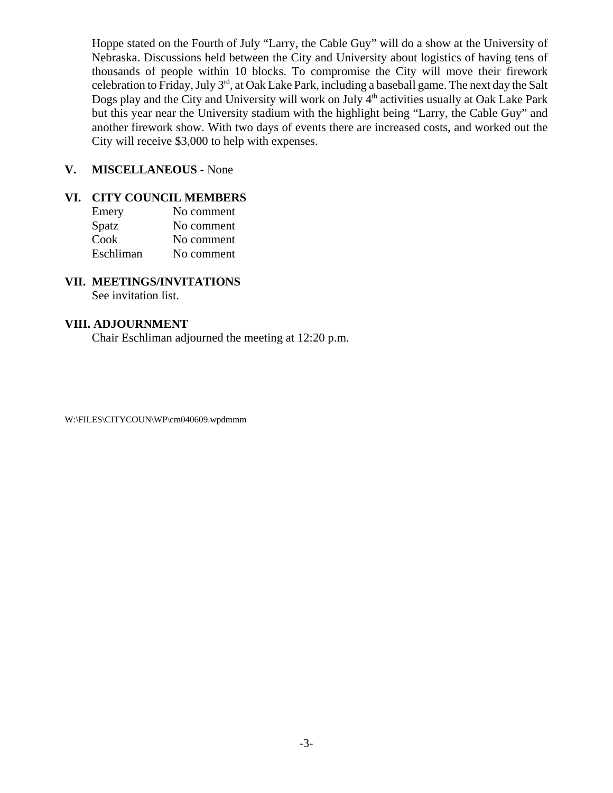Hoppe stated on the Fourth of July "Larry, the Cable Guy" will do a show at the University of Nebraska. Discussions held between the City and University about logistics of having tens of thousands of people within 10 blocks. To compromise the City will move their firework celebration to Friday, July 3<sup>rd</sup>, at Oak Lake Park, including a baseball game. The next day the Salt Dogs play and the City and University will work on July 4<sup>th</sup> activities usually at Oak Lake Park but this year near the University stadium with the highlight being "Larry, the Cable Guy" and another firework show. With two days of events there are increased costs, and worked out the City will receive \$3,000 to help with expenses.

## **V. MISCELLANEOUS -** None

## **VI. CITY COUNCIL MEMBERS**

| Emery     | No comment |
|-----------|------------|
| Spatz     | No comment |
| Cook      | No comment |
| Eschliman | No comment |

## **VII. MEETINGS/INVITATIONS**

See invitation list.

### **VIII. ADJOURNMENT**

Chair Eschliman adjourned the meeting at 12:20 p.m.

W:\FILES\CITYCOUN\WP\cm040609.wpdmmm